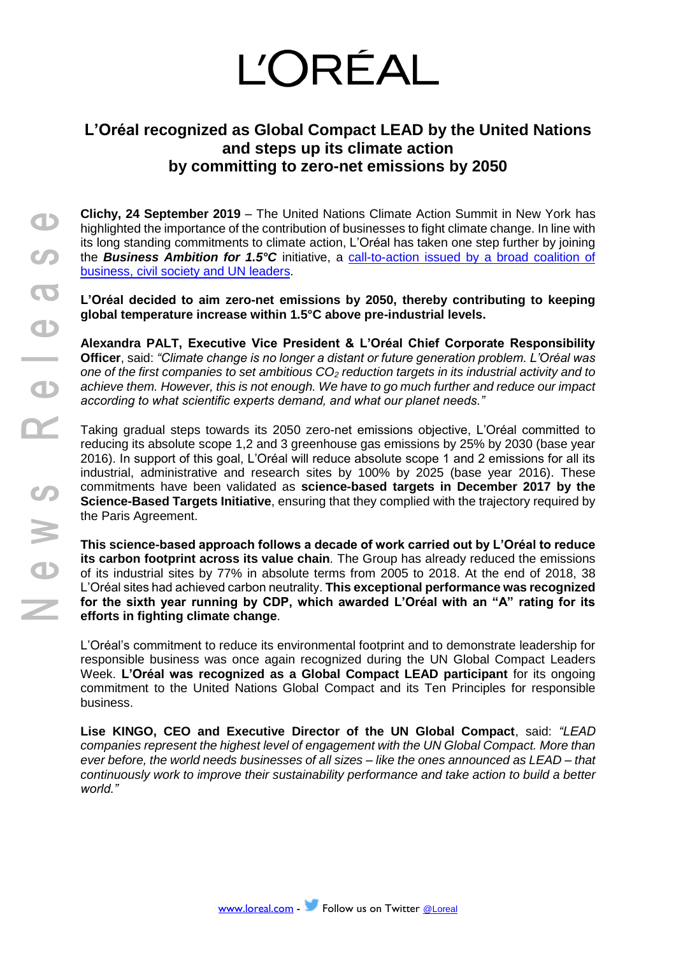# **L'ORÉAL**

## **L'Oréal recognized as Global Compact LEAD by the United Nations and steps up its climate action by committing to zero-net emissions by 2050**

**Clichy, 24 September 2019** – The United Nations Climate Action Summit in New York has highlighted the importance of the contribution of businesses to fight climate change. In line with its long standing commitments to climate action, L'Oréal has taken one step further by joining the *Business Ambition for 1.5°C* initiative, a [call-to-action issued by a broad coalition of](https://www.unglobalcompact.org/take-action/events/climate-action-summit-2019/business-ambition)  [business, civil society](https://www.unglobalcompact.org/take-action/events/climate-action-summit-2019/business-ambition) and UN leaders.

**L'Oréal decided to aim zero-net emissions by 2050, thereby contributing to keeping global temperature increase within 1.5°C above pre-industrial levels.**

**Alexandra PALT, Executive Vice President & L'Oréal Chief Corporate Responsibility Officer**, said: *"Climate change is no longer a distant or future generation problem. L'Oréal was one of the first companies to set ambitious CO<sup>2</sup> reduction targets in its industrial activity and to achieve them. However, this is not enough. We have to go much further and reduce our impact according to what scientific experts demand, and what our planet needs."* 

Taking gradual steps towards its 2050 zero-net emissions objective, L'Oréal committed to reducing its absolute scope 1,2 and 3 greenhouse gas emissions by 25% by 2030 (base year 2016). In support of this goal, L'Oréal will reduce absolute scope 1 and 2 emissions for all its industrial, administrative and research sites by 100% by 2025 (base year 2016). These commitments have been validated as **science-based targets in December 2017 by the Science-Based Targets Initiative**, ensuring that they complied with the trajectory required by the Paris Agreement.

**This science-based approach follows a decade of work carried out by L'Oréal to reduce its carbon footprint across its value chain***.* The Group has already reduced the emissions of its industrial sites by 77% in absolute terms from 2005 to 2018. At the end of 2018, 38 L'Oréal sites had achieved carbon neutrality. **This exceptional performance was recognized for the sixth year running by CDP, which awarded L'Oréal with an "A" rating for its efforts in fighting climate change**.

L'Oréal's commitment to reduce its environmental footprint and to demonstrate leadership for responsible business was once again recognized during the UN Global Compact Leaders Week. **L'Oréal was recognized as a Global Compact LEAD participant** for its ongoing commitment to the United Nations Global Compact and its [Ten Principles](https://www.unglobalcompact.org/what-is-gc/mission/principles) for responsible business.

**Lise KINGO, CEO and Executive Director of the UN Global Compact**, said: *"LEAD companies represent the highest level of engagement with the UN Global Compact. More than ever before, the world needs businesses of all sizes – like the ones announced as LEAD – that continuously work to improve their sustainability performance and take action to build a better world."*